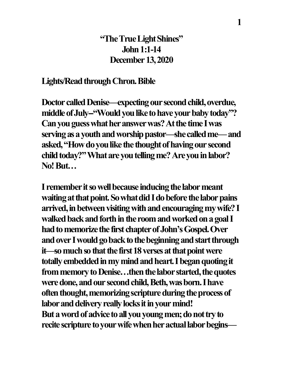## **"The True Light Shines" John 1:1-14 December 13, 2020**

#### **Lights/Read through Chron. Bible**

**Doctor called Denise—expecting our second child, overdue,**  middle of July-"Would you like to have your baby today"? **Canyou guess what her answer was? At the time I was serving as a youth and worship pastor—she called me—and asked, "How do you like the thought of having our second**  child today?" What are you telling me? Are you in labor? **No!But…**

**I remember it so well because inducing the labor meant**  waiting at that point. So what did I do before the labor pains **arrived, in between visiting withand encouraging my wife?I**  walked back and forth in the room and worked on a goal I **had to memorize the first chapter of John's Gospel. Over and over I would go back to the beginning and start through it—so much so that the first 18 verses at that point were totally embedded in my mind and heart.I began quoting it from memory to Denise…then the labor started, the quotes**  were done, and our second child, Beth, was born. I have **often thought, memorizing scripture during the process of labor and delivery really locks it in your mind! But a word of advice to all you young men; do not try to recite scripture to your wife when heractual labor begins—**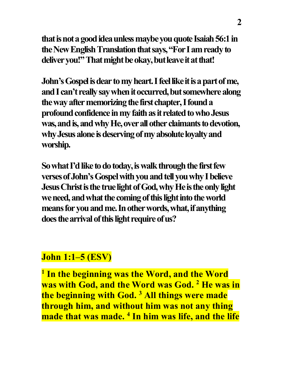**that is not a good ideaunless maybe you quote Isaiah 56:1 in the New English Translation that says, "For I am ready to deliver you!" That might be okay, but leave it at that!**

**John's Gospel is dear to my heart. I feel like it is a part of me, and I can't really say when it occurred, but somewhere along the way after memorizing the first chapter,I found a profound confidence in my faithas it related to who Jesus was, and is, and why He, over all other claimants to devotion, why Jesus alone is deserving of my absolute loyalty and worship.**

**So what I'd like to do today, is walk through the first few verses of John's Gospel with you and tell you why I believe Jesus Christ is the true light of God, why He is the only light we need, and what the coming of this light into the world means for youand me.In other words, what, if anything does the arrival of this light require of us?**

## **John 1:1–5 (ESV)**

**<sup>1</sup> In the beginning was the Word, and the Word was with God, and the Word was God. 2 He was in the beginning with God. 3 All things were made through him, and without him was not any thing made that was made. 4 In him was life, and the life**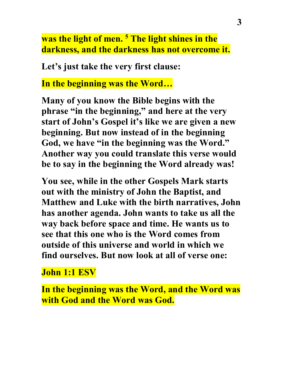**was the light of men. 5 The light shines in the darkness, and the darkness has not overcome it.**

**Let's just take the very first clause:**

**In the beginning was the Word…**

**Many of you know the Bible begins with the phrase "in the beginning," and here at the very start of John's Gospel it's like we are given a new beginning. But now instead of in the beginning God, we have "in the beginning was the Word." Another way you could translate this verse would be to say in the beginning the Word already was!**

**You see, while in the other Gospels Mark starts out with the ministry of John the Baptist, and Matthew and Luke with the birth narratives, John has another agenda. John wants to take us all the way back before space and time. He wants us to see that this one who is the Word comes from outside of this universe and world in which we find ourselves. But now look at all of verse one:**

**John 1:1 ESV**

**In the beginning was the Word, and the Word was with God and the Word was God.**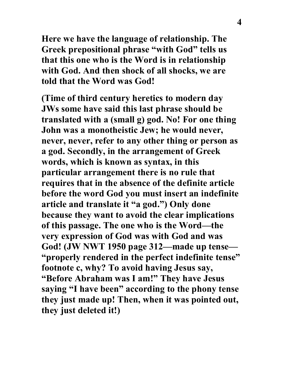**Here we have the language of relationship. The Greek prepositional phrase "with God" tells us that this one who is the Word is in relationship with God. And then shock of all shocks, we are told that the Word was God!**

**(Time of third century heretics to modern day JWs some have said this last phrase should be translated with a (small g) god. No! For one thing John was a monotheistic Jew; he would never, never, never, refer to any other thing or person as a god. Secondly, in the arrangement of Greek words, which is known as syntax, in this particular arrangement there is no rule that requires that in the absence of the definite article before the word God you must insert an indefinite article and translate it "a god.") Only done because they want to avoid the clear implications of this passage. The one who is the Word—the very expression of God was with God and was God! (JW NWT 1950 page 312—made up tense— "properly rendered in the perfect indefinite tense" footnote c, why? To avoid having Jesus say, "Before Abraham was I am!" They have Jesus saying "I have been" according to the phony tense they just made up! Then, when it was pointed out, they just deleted it!)**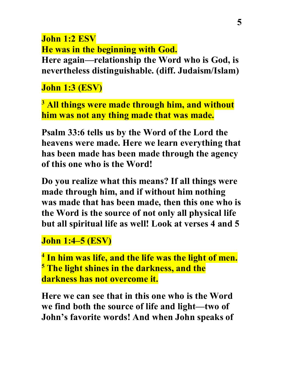**John 1:2 ESV He was in the beginning with God. Here again—relationship the Word who is God, is nevertheless distinguishable. (diff. Judaism/Islam)**

**John 1:3 (ESV)** 

**<sup>3</sup> All things were made through him, and without him was not any thing made that was made.**

**Psalm 33:6 tells us by the Word of the Lord the heavens were made. Here we learn everything that has been made has been made through the agency of this one who is the Word!**

**Do you realize what this means? If all things were made through him, and if without him nothing was made that has been made, then this one who is the Word is the source of not only all physical life but all spiritual life as well! Look at verses 4 and 5**

## **John 1:4–5 (ESV)**

**<sup>4</sup> In him was life, and the life was the light of men. <sup>5</sup> The light shines in the darkness, and the darkness has not overcome it.**

**Here we can see that in this one who is the Word we find both the source of life and light—two of John's favorite words! And when John speaks of**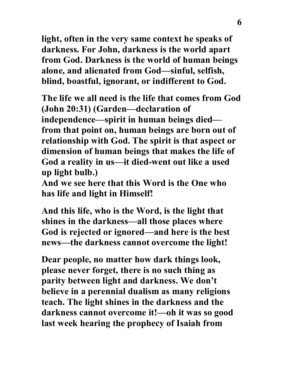**light, often in the very same context he speaks of darkness. For John, darkness is the world apart from God. Darkness is the world of human beings alone, and alienated from God—sinful, selfish, blind, boastful, ignorant, or indifferent to God.**

**The life we all need is the life that comes from God (John 20:31) (Garden—declaration of independence—spirit in human beings died from that point on, human beings are born out of relationship with God. The spirit is that aspect or dimension of human beings that makes the life of God a reality in us—it died-went out like a used up light bulb.)**

**And we see here that this Word is the One who has life and light in Himself!**

**And this life, who is the Word, is the light that shines in the darkness—all those places where God is rejected or ignored—and here is the best news—the darkness cannot overcome the light!**

**Dear people, no matter how dark things look, please never forget, there is no such thing as parity between light and darkness. We don't believe in a perennial dualism as many religions teach. The light shines in the darkness and the darkness cannot overcome it!—oh it was so good last week hearing the prophecy of Isaiah from**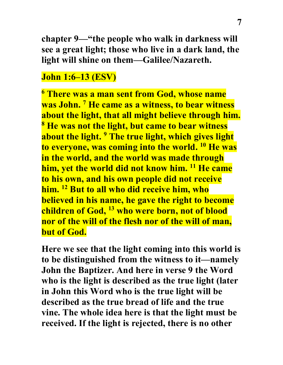**chapter 9—"the people who walk in darkness will see a great light; those who live in a dark land, the light will shine on them—Galilee/Nazareth.**

## **John 1:6–13 (ESV)**

**<sup>6</sup> There was a man sent from God, whose name was John. 7 He came as a witness, to bear witness about the light, that all might believe through him. <sup>8</sup> He was not the light, but came to bear witness about the light. 9 The true light, which gives light to everyone, was coming into the world. 10 He was in the world, and the world was made through him, yet the world did not know him. 11 He came to his own, and his own people did not receive him. 12 But to all who did receive him, who believed in his name, he gave the right to become children of God, 13 who were born, not of blood nor of the will of the flesh nor of the will of man, but of God.**

**Here we see that the light coming into this world is to be distinguished from the witness to it—namely John the Baptizer. And here in verse 9 the Word who is the light is described as the true light (later in John this Word who is the true light will be described as the true bread of life and the true vine. The whole idea here is that the light must be received. If the light is rejected, there is no other**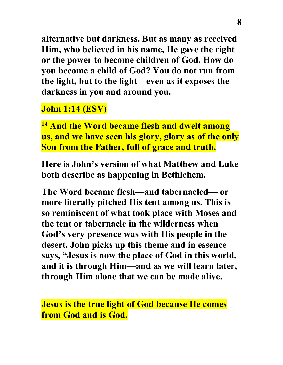**alternative but darkness. But as many as received Him, who believed in his name, He gave the right or the power to become children of God. How do you become a child of God? You do not run from the light, but to the light—even as it exposes the darkness in you and around you.**

# **John 1:14 (ESV)**

**<sup>14</sup> And the Word became flesh and dwelt among us, and we have seen his glory, glory as of the only Son from the Father, full of grace and truth.**

**Here is John's version of what Matthew and Luke both describe as happening in Bethlehem.**

**The Word became flesh—and tabernacled— or more literally pitched His tent among us. This is so reminiscent of what took place with Moses and the tent or tabernacle in the wilderness when God's very presence was with His people in the desert. John picks up this theme and in essence says, "Jesus is now the place of God in this world, and it is through Him—and as we will learn later, through Him alone that we can be made alive.**

**Jesus is the true light of God because He comes from God and is God.**